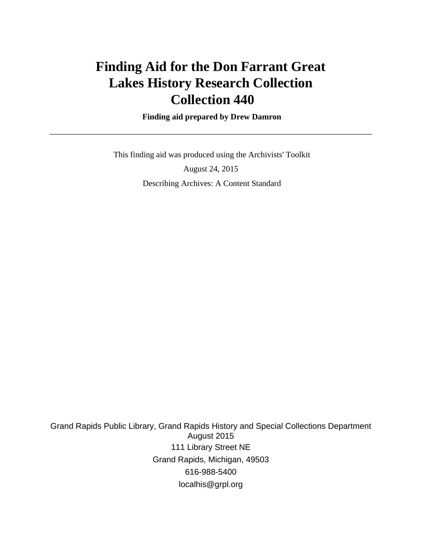# **Finding Aid for the Don Farrant Great Lakes History Research Collection Collection 440**

 **Finding aid prepared by Drew Damron**

 This finding aid was produced using the Archivists' Toolkit August 24, 2015 Describing Archives: A Content Standard

Grand Rapids Public Library, Grand Rapids History and Special Collections Department August 2015 111 Library Street NE Grand Rapids, Michigan, 49503 616-988-5400 localhis@grpl.org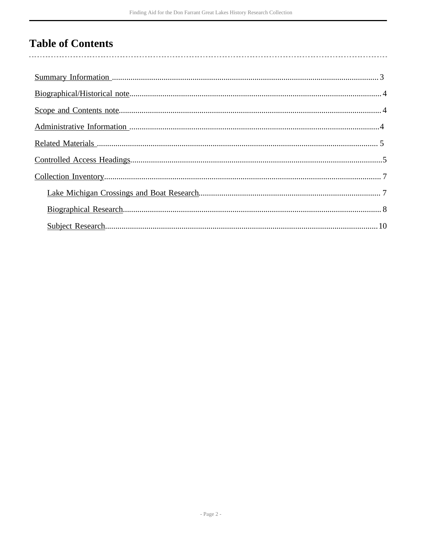## **Table of Contents**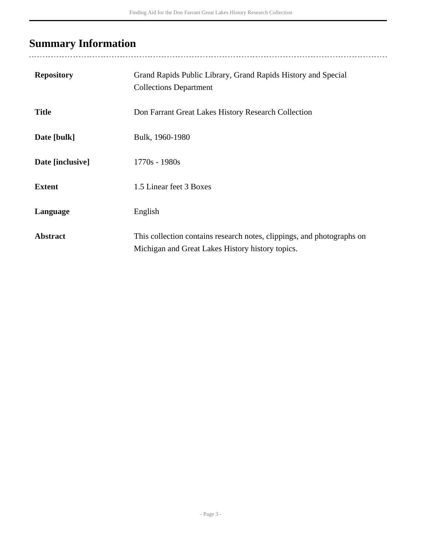## <span id="page-2-0"></span>**Summary Information**

| <b>Repository</b> | Grand Rapids Public Library, Grand Rapids History and Special<br><b>Collections Department</b>                             |
|-------------------|----------------------------------------------------------------------------------------------------------------------------|
| <b>Title</b>      | Don Farrant Great Lakes History Research Collection                                                                        |
| Date [bulk]       | Bulk, 1960-1980                                                                                                            |
| Date [inclusive]  | $1770s - 1980s$                                                                                                            |
| <b>Extent</b>     | 1.5 Linear feet 3 Boxes                                                                                                    |
| Language          | English                                                                                                                    |
| <b>Abstract</b>   | This collection contains research notes, clippings, and photographs on<br>Michigan and Great Lakes History history topics. |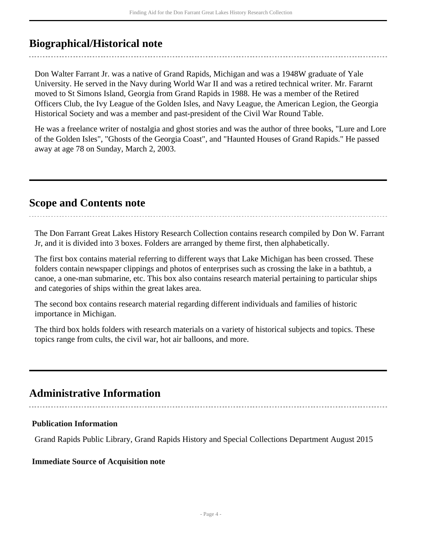### <span id="page-3-0"></span>**Biographical/Historical note**

Don Walter Farrant Jr. was a native of Grand Rapids, Michigan and was a 1948W graduate of Yale University. He served in the Navy during World War II and was a retired technical writer. Mr. Fararnt moved to St Simons Island, Georgia from Grand Rapids in 1988. He was a member of the Retired Officers Club, the Ivy League of the Golden Isles, and Navy League, the American Legion, the Georgia Historical Society and was a member and past-president of the Civil War Round Table.

He was a freelance writer of nostalgia and ghost stories and was the author of three books, "Lure and Lore of the Golden Isles", "Ghosts of the Georgia Coast", and "Haunted Houses of Grand Rapids." He passed away at age 78 on Sunday, March 2, 2003.

#### <span id="page-3-1"></span>**Scope and Contents note**

The Don Farrant Great Lakes History Research Collection contains research compiled by Don W. Farrant Jr, and it is divided into 3 boxes. Folders are arranged by theme first, then alphabetically.

The first box contains material referring to different ways that Lake Michigan has been crossed. These folders contain newspaper clippings and photos of enterprises such as crossing the lake in a bathtub, a canoe, a one-man submarine, etc. This box also contains research material pertaining to particular ships and categories of ships within the great lakes area.

The second box contains research material regarding different individuals and families of historic importance in Michigan.

The third box holds folders with research materials on a variety of historical subjects and topics. These topics range from cults, the civil war, hot air balloons, and more.

### <span id="page-3-2"></span>**Administrative Information**

#### **Publication Information**

Grand Rapids Public Library, Grand Rapids History and Special Collections Department August 2015

#### **Immediate Source of Acquisition note**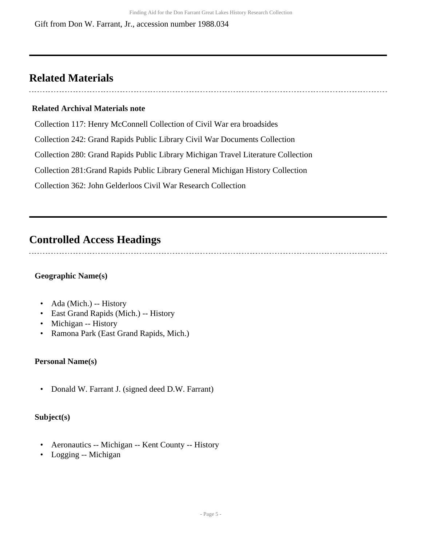### <span id="page-4-0"></span>**Related Materials**

### **Related Archival Materials note**

Collection 117: Henry McConnell Collection of Civil War era broadsides

Collection 242: Grand Rapids Public Library Civil War Documents Collection

Collection 280: Grand Rapids Public Library Michigan Travel Literature Collection

Collection 281:Grand Rapids Public Library General Michigan History Collection

Collection 362: John Gelderloos Civil War Research Collection

### <span id="page-4-1"></span>**Controlled Access Headings**

#### **Geographic Name(s)**

- Ada (Mich.) -- History
- East Grand Rapids (Mich.) -- History
- Michigan -- History
- Ramona Park (East Grand Rapids, Mich.)

#### **Personal Name(s)**

• Donald W. Farrant J. (signed deed D.W. Farrant)

#### **Subject(s)**

- Aeronautics -- Michigan -- Kent County -- History
- Logging -- Michigan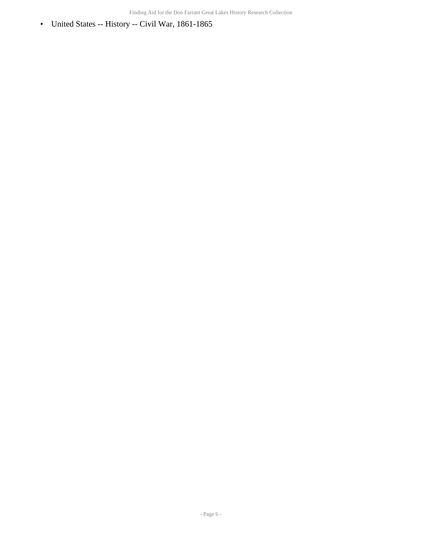• United States -- History -- Civil War, 1861-1865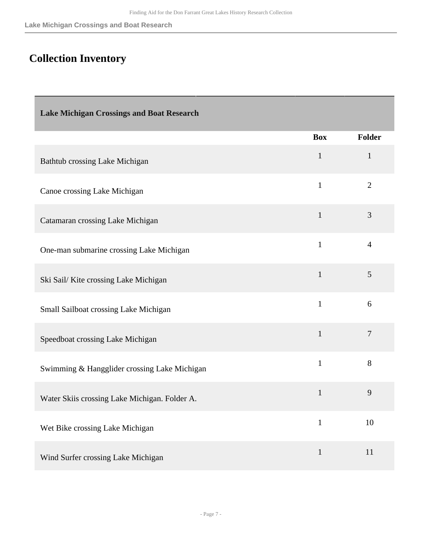## <span id="page-6-0"></span>**Collection Inventory**

<span id="page-6-1"></span>

| <b>Lake Michigan Crossings and Boat Research</b> |              |                |
|--------------------------------------------------|--------------|----------------|
|                                                  | <b>Box</b>   | <b>Folder</b>  |
| Bathtub crossing Lake Michigan                   | $\mathbf{1}$ | $\mathbf{1}$   |
| Canoe crossing Lake Michigan                     | $\mathbf{1}$ | $\overline{2}$ |
| Catamaran crossing Lake Michigan                 | $\mathbf{1}$ | 3              |
| One-man submarine crossing Lake Michigan         | $\mathbf{1}$ | $\overline{4}$ |
| Ski Sail/Kiite crossing Lake Michigan            | $\mathbf{1}$ | 5              |
| Small Sailboat crossing Lake Michigan            | $\mathbf{1}$ | 6              |
| Speedboat crossing Lake Michigan                 | $\mathbf{1}$ | $\overline{7}$ |
| Swimming & Hangglider crossing Lake Michigan     | $\mathbf{1}$ | 8              |
| Water Skiis crossing Lake Michigan. Folder A.    | $\mathbf{1}$ | 9              |
| Wet Bike crossing Lake Michigan                  | $\mathbf{1}$ | 10             |
| Wind Surfer crossing Lake Michigan               | $\mathbf{1}$ | 11             |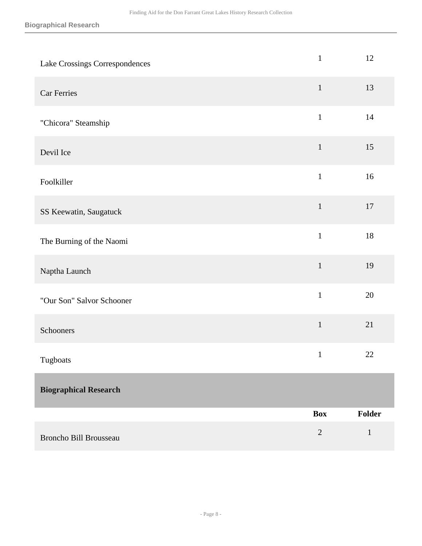<span id="page-7-0"></span>

| Lake Crossings Correspondences | $\mathbf{1}$ | 12           |
|--------------------------------|--------------|--------------|
| <b>Car Ferries</b>             | $\mathbf{1}$ | 13           |
| "Chicora" Steamship            | $\mathbf{1}$ | $14$         |
| Devil Ice                      | $1\,$        | 15           |
| Foolkiller                     | $\mathbf{1}$ | 16           |
| SS Keewatin, Saugatuck         | $\mathbf{1}$ | $17\,$       |
| The Burning of the Naomi       | $\mathbf{1}$ | 18           |
| Naptha Launch                  | $\mathbf{1}$ | 19           |
| "Our Son" Salvor Schooner      | $\mathbf{1}$ | 20           |
| Schooners                      | $\mathbf 1$  | 21           |
| Tugboats                       | $\mathbf{1}$ | 22           |
| <b>Biographical Research</b>   |              |              |
|                                | <b>Box</b>   | Folder       |
| Broncho Bill Brousseau         | $\sqrt{2}$   | $\mathbf{1}$ |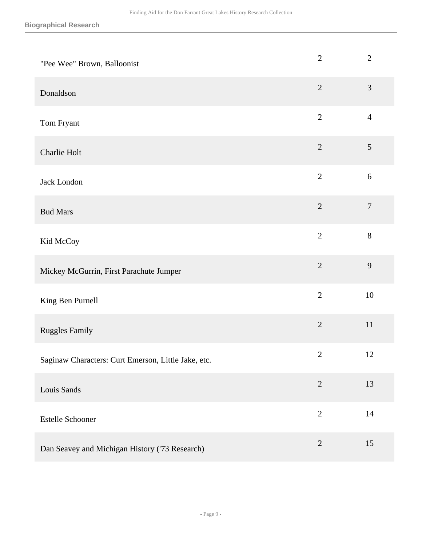| "Pee Wee" Brown, Balloonist                         | $\mathbf{2}$   | $\overline{2}$   |
|-----------------------------------------------------|----------------|------------------|
| Donaldson                                           | $\overline{2}$ | $\mathfrak{Z}$   |
| Tom Fryant                                          | $\sqrt{2}$     | $\overline{4}$   |
| Charlie Holt                                        | $\sqrt{2}$     | $\mathfrak{S}$   |
| Jack London                                         | $\overline{2}$ | $6\,$            |
| <b>Bud Mars</b>                                     | $\overline{2}$ | $\boldsymbol{7}$ |
| Kid McCoy                                           | $\overline{2}$ | $8\,$            |
| Mickey McGurrin, First Parachute Jumper             | $\overline{2}$ | 9                |
| King Ben Purnell                                    | $\overline{2}$ | 10               |
| <b>Ruggles Family</b>                               | $\sqrt{2}$     | $11\,$           |
| Saginaw Characters: Curt Emerson, Little Jake, etc. | $\mathbf{2}$   | 12               |
| Louis Sands                                         | $\overline{2}$ | 13               |
| Estelle Schooner                                    | $\overline{2}$ | $14$             |
| Dan Seavey and Michigan History ('73 Research)      | $\sqrt{2}$     | 15               |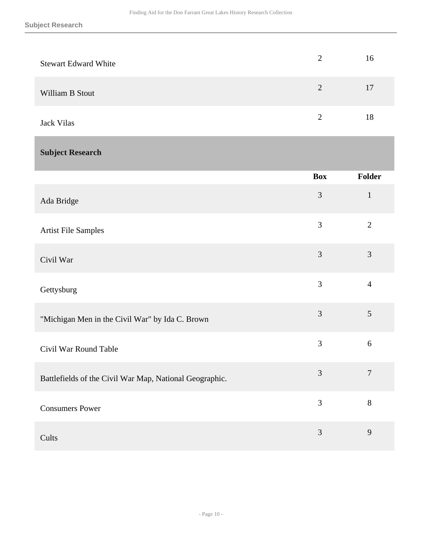<span id="page-9-0"></span>

| <b>Stewart Edward White</b>                             | $\mathbf{2}$   | 16             |
|---------------------------------------------------------|----------------|----------------|
| William B Stout                                         | $\overline{2}$ | 17             |
| <b>Jack Vilas</b>                                       | $\overline{2}$ | 18             |
| <b>Subject Research</b>                                 |                |                |
|                                                         | <b>Box</b>     | <b>Folder</b>  |
| Ada Bridge                                              | $\mathfrak{Z}$ | $\mathbf{1}$   |
| Artist File Samples                                     | 3              | $\overline{2}$ |
| Civil War                                               | 3              | 3              |
| Gettysburg                                              | 3              | $\overline{4}$ |
| "Michigan Men in the Civil War" by Ida C. Brown         | 3              | 5              |
| Civil War Round Table                                   | 3              | 6              |
| Battlefields of the Civil War Map, National Geographic. | 3              | $\overline{7}$ |
| <b>Consumers Power</b>                                  | 3              | $8\,$          |
| Cults                                                   | $\mathfrak{Z}$ | $\overline{9}$ |